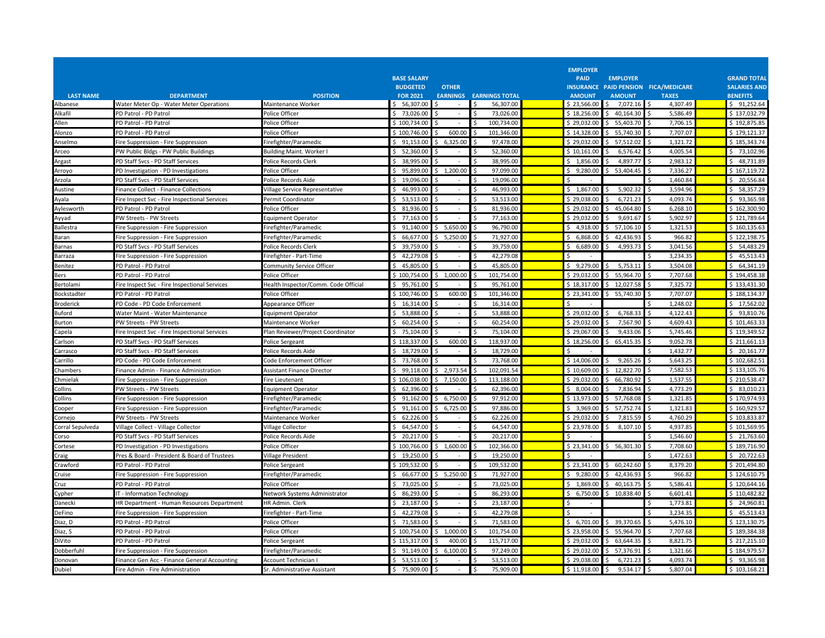|                  |                                               |                                      | <b>BASE SALARY</b> |                                |                       | <b>EMPLOYER</b><br><b>PAID</b> | <b>EMPLOYER</b>           |                                      | <b>GRAND TOTAL</b>  |
|------------------|-----------------------------------------------|--------------------------------------|--------------------|--------------------------------|-----------------------|--------------------------------|---------------------------|--------------------------------------|---------------------|
|                  |                                               |                                      | <b>BUDGETED</b>    | <b>OTHER</b>                   |                       |                                |                           | INSURANCE PAID PENSION FICA/MEDICARE | <b>SALARIES AND</b> |
| <b>LAST NAME</b> | <b>DEPARTMENT</b>                             | <b>POSITION</b>                      | <b>FOR 2021</b>    | <b>EARNINGS</b>                | <b>EARNINGS TOTAL</b> | <b>AMOUNT</b>                  | <b>AMOUNT</b>             | <b>TAXES</b>                         | <b>BENEFITS</b>     |
| Albanese         | Water Meter Op - Water Meter Operations       | Maintenance Worker                   | \$56,307.00        | $\overline{\phantom{a}}$       | Ŝ.<br>56,307.00       | \$23,566.00                    | 7,072.16<br>Ŝ.            | 4,307.49                             | \$91,252.64         |
| Alkafil          | PD Patrol - PD Patrol                         | Police Officer                       | \$73,026.00        | $\sim$                         | 73.026.00             | \$18.256.00                    | \$40.164.30               | 5,586.49                             | \$137.032.79        |
| Allen            | PD Patrol - PD Patrol                         | <b>Police Officer</b>                | \$100,734.00       |                                | 100,734.00            | \$29,032.00                    | 55,403.70                 | 7,706.15                             | \$192,875.85        |
| Alonzo           | PD Patrol - PD Patrol                         | Police Officer                       | \$100,746.00       | 600.00                         | 101.346.00            | \$14,328.00                    | \$5,740.30                | 7,707.07                             | \$179,121.37        |
| Anselmo          | Fire Suppression - Fire Suppression           | Firefighter/Paramedic                | 91.153.00<br>Ŝ     | 6.325.00                       | 97.478.00             | \$29.032.00                    | 57.512.02<br>Ś.           | 1.321.72                             | \$185,343,74        |
| Arceo            | PW Public Bldgs - PW Public Buildings         | <b>Building Maint. Worker I</b>      | \$52,360.00        | $\sim$                         | 52,360.00             | \$10,161.00                    | 6,576.42<br>ς.            | 4,005.54                             | \$73,102.96         |
| <b>Argast</b>    | PD Staff Svcs - PD Staff Services             | Police Records Clerk                 | 38,995.00          |                                | 38,995.00             | \$1,856.00                     | 4,897.77                  | 2,983.12                             | \$48,731.89         |
| Arroyo           | PD Investigation - PD Investigations          | Police Officer                       | \$95,899.00        | 1,200.00                       | 97.099.00             | \$9,280.00                     | 53,404.45                 | 7,336.27                             | \$167.119.72        |
| Arzola           | PD Staff Svcs - PD Staff Services             | Police Records Aide                  | Ŝ.<br>19.096.00    | $\blacksquare$                 | 19.096.00             |                                |                           | 1,460.84                             | \$20,556.84         |
| Austine          | Finance Collect - Finance Collections         | Village Service Representative       | \$46,993.00        |                                | 46,993.00             | \$1,867.00                     | 5,902.32<br>Š.            | 3,594.96                             | \$58,357.29         |
| Ayala            | Fire Inspect Svc - Fire Inspectional Services | Permit Coordinator                   | \$53,513.00        |                                | 53,513.00             | \$29,038.00                    | 6,721.23                  | 4,093.74                             | \$93,365.98         |
| Aylesworth       | PD Patrol - PD Patrol                         | Police Officer                       | \$31,936.00        |                                | 81,936.00             | \$29,032.00                    | $\mathsf{S}$<br>45,064.80 | 6,268.10                             | \$162,300.90        |
| Ayyad            | PW Streets - PW Streets                       | Equipment Operator                   | 77,163.00<br>Ŝ.    |                                | 77,163.00             | \$29.032.00                    | 9.691.67                  | 5.902.97                             | \$121,789.64        |
| <b>Ballestra</b> | Fire Suppression - Fire Suppression           | Firefighter/Paramedic                | \$91,140.00        | \$5,650.00                     | 96,790.00             | \$4,918.00                     | \$7,106.10                | 1,321.53                             | \$160,135.63        |
| <b>Baran</b>     | Fire Suppression - Fire Suppression           | Firefighter/Paramedic                | 66,677.00          | 5,250.00                       | 71,927.00             | \$6,868.00                     | Ś.<br>42,436.93           | 966.82                               | \$122,198.75        |
| Barnas           | PD Staff Svcs - PD Staff Services             | Police Records Clerk                 | \$39,759.00        |                                | 39,759.00             | 6,689.00<br>Ś.                 | 4,993.73                  | 3.041.56                             | $5$ 54.483.29       |
| 3arraza          | Fire Suppression - Fire Suppression           | Firefighter - Part-Time              | \$42,279.08        | $\overline{\phantom{a}}$       | 42,279.08             |                                |                           | 3,234.35                             | \$45,513.43         |
| Benitez          | PD Patrol - PD Patrol                         | Community Service Officer            | 45,805.00<br>Ŝ.    |                                | 45,805.00             | \$9,279.00                     | 5,753.11<br>\$            | 3,504.08                             | \$64,341.19         |
| Bers             | PD Patrol - PD Patrol                         | Police Officer                       | \$100,754.00       | \$1,000.00                     | 101,754.00<br>Ŝ       | \$29,032.00                    | 55,964.70<br>Ŝ.           | 7,707.68                             | \$194,458.38        |
| Bertolami        | Fire Inspect Svc - Fire Inspectional Services | Health Inspector/Comm. Code Official | \$95,761.00        |                                | 95,761.00             | \$18,317.00                    | \$12,027.58               | 7,325.72                             | \$133,431.30        |
| Bockstadter      | PD Patrol - PD Patrol                         | Police Officer                       | \$100,746.00       | 600.00                         | 101,346.00            | \$23,341.00                    | \$5,740.30                | 7,707.07                             | \$188,134.37        |
| <b>Broderick</b> | PD Code - PD Code Enforcement                 | Appearance Officer                   | \$16,314.00        | $\sim$                         | 16,314.00             |                                |                           | 1,248.02                             | \$17,562.02         |
| 3uford           | Water Maint - Water Maintenance               | Equipment Operator                   | \$5,888.00         | $\overline{\phantom{a}}$       | 53,888.00             | \$29,032.00                    | 6,768.33<br>-Ś            | 4,122.43                             | \$93,810.76         |
| Burton           | PW Streets - PW Streets                       | Maintenance Worker                   | \$60,254.00        |                                | 60,254.00             | \$29,032.00                    | 7,567.90                  | 4,609.43                             | \$101,463.33        |
| Capela           | Fire Inspect Svc - Fire Inspectional Services | Plan Reviewer/Project Coordinator    | \$75,104.00        | $\blacksquare$                 | 75,104.00             | \$29,067.00                    | 9,433.06<br>Ŝ             | 5,745.46                             | \$119,349.52        |
| Carlson          | PD Staff Svcs - PD Staff Services             | Police Sergeant                      | \$118,337.00       | 600.00                         | 118,937.00            | \$18,256.00                    | \$<br>65,415.35           | 9,052.78                             | \$211,661.13        |
| Carrasco         | PD Staff Svcs - PD Staff Services             | Police Records Aide                  | \$18.729.00        |                                | 18.729.00             |                                |                           | 1.432.77                             | \$20.161.77         |
| Carrillo         | PD Code - PD Code Enforcement                 | Code Enforcement Officer             | Ŝ.<br>73,768.00    |                                | 73,768.00             | \$14,006.00                    | 9,265.26<br>S.            | 5,643.25                             | \$102,682.51        |
| Chambers         | Finance Admin - Finance Administration        | <b>Assistant Finance Director</b>    | \$99,118.00        | \$2,973.54                     | 102,091.54            | \$10,609.00                    | \$12,822.70               | 7,582.53                             | \$133,105.76        |
| Chmielak         | Fire Suppression - Fire Suppression           | Fire Lieutenant                      | \$106,038.00       | 7,150.00                       | 113.188.00            | \$29.032.00                    | 66,780.92<br>Ŝ.           | 1,537.55                             | \$210.538.47        |
| Collins          | PW Streets - PW Streets                       | Equipment Operator                   | \$62.396.00        |                                | 62.396.00             | \$8.004.00                     | 7.836.94<br>ς.            | 4.773.29                             | \$83.010.23         |
| Collins          | Fire Suppression - Fire Suppression           | Firefighter/Paramedio                | Ŝ.<br>91,162.00    | 6,750.00                       | 97,912.00             | \$13,973.00                    | 57,768.08<br>Ś.           | 1,321.85                             | \$170,974.93        |
| Cooper           | Fire Suppression - Fire Suppression           | Firefighter/Paramedic                | \$91,161.00        | 6,725.00<br>Ŝ.                 | 97,886.00             | \$3,969.00                     | \$57,752.74               | 1,321.83                             | \$160,929.57        |
| Cornejo          | PW Streets - PW Streets                       | Maintenance Worker                   | 62,226.00<br>Ŝ     |                                | 62,226.00             | \$29,032.00                    | 7,815.59                  | 4,760.29                             | \$103,833.87        |
| Corral Sepulveda | Village Collect - Village Collector           | <b>Village Collector</b>             | \$64,547.00        | $\bar{a}$                      | 64,547.00             | \$23,978.00                    | 8,107.10<br>ς.            | 4,937.85                             | \$101,569.95        |
| Corso            | PD Staff Svcs - PD Staff Services             | Police Records Aide                  | 20,217.00<br>Ŝ.    |                                | 20,217.00             |                                |                           | 1,546.60                             | \$21,763.60         |
| Cortese          | PD Investigation - PD Investigations          | Police Officer                       | \$100.766.00       | \$1,600.00                     | 102.366.00<br>S.      | \$23.341.00                    | \$56,301.30               | 7,708.60                             | \$189,716.90        |
| Craig            | Pres & Board - President & Board of Trustees  | <b>Village President</b>             | 19,250.00<br>Ŝ.    | $\sim$                         | 19,250.00             |                                |                           | 1,472.63                             | \$20,722.63         |
| Crawford         | PD Patrol - PD Patrol                         | Police Sergeant                      | \$109,532.00       | ÷.                             | 109,532.00            | \$23,341.00                    | \$60,242.60               | 8,379.20<br>l \$                     | \$201,494.80        |
| cruise           | Fire Suppression - Fire Suppression           | Firefighter/Paramedic                | \$66,677.00        | \$5,250.00                     | 71,927.00             | \$9,280.00                     | 42,436.93                 | 966.82                               | \$124,610.75        |
| Cruz             | PD Patrol - PD Patrol                         | Police Officer                       | \$73.025.00        |                                | 73.025.00             | \$1.869.00                     | 40.163.75<br>ς.           | 5.586.41                             | \$120.644.16        |
| Cypher           | T - Information Technology                    | Network Systems Administrator        | 86,293.00<br>Ŝ     | ÷                              | 86,293.00             | 6,750.00                       | 10,838.40<br>Ś.           | 6,601.41                             | \$110,482.82        |
| Danecki          | HR Department - Human Resources Department    | HR Admin, Clerk                      | \$23,187.00        | $\blacksquare$                 | 23,187.00<br>Ŝ        |                                |                           | 1,773.81                             | \$24,960.81         |
| DeFino           | Fire Suppression - Fire Suppression           | Firefighter - Part-Time              | Ŝ.<br>42,279.08    |                                | 42,279.08             |                                |                           | 3,234.35                             | \$45,513.43         |
| Diaz, D          | PD Patrol - PD Patrol                         | Police Officer                       | \$ 71.583.00       |                                | 71.583.00             | \$6.701.00                     | \$ 39.370.65              | 5.476.10<br>Ś,                       | \$123.130.75        |
| Diaz, S          | PD Patrol - PD Patrol                         | Police Officer                       | \$100,754.00       | \$1,000.00                     | 101,754.00            | \$23,958.00                    | 55,964.70<br>S.           | 7,707.68                             | \$189,384.38        |
| DiVito           | PD Patrol - PD Patrol                         | Police Sergeant                      | \$115,317.00       | 400.00                         | 115,717.00            | \$29,032.00                    | \$63,644.35               | 8,821.75                             | \$217,215.10        |
| Dobberfuhl       | Fire Suppression - Fire Suppression           | Firefighter/Paramedic                | Ŝ.<br>91,149.00    | 6,100.00                       | 97,249.00             | \$29,032.00                    | 57,376.91                 | 1,321.66                             | \$184,979.57        |
| Donovan          | Finance Gen Acc - Finance General Accounting  | Account Technician I                 | $5$ 53.513.00      |                                | 53.513.00             | \$29,038.00                    | 6,721.23                  | 4.093.74                             | $5$ 93.365.98       |
| Dubiel           | Fire Admin - Fire Administration              | Sr. Administrative Assistant         | \$75,909.00        | \$<br>$\overline{\phantom{a}}$ | 75,909.00<br>Ŝ.       | $$11,918.00$ \$                | 9,534.17                  | 5,807.04                             | \$103,168.21        |
|                  |                                               |                                      |                    |                                |                       |                                |                           |                                      |                     |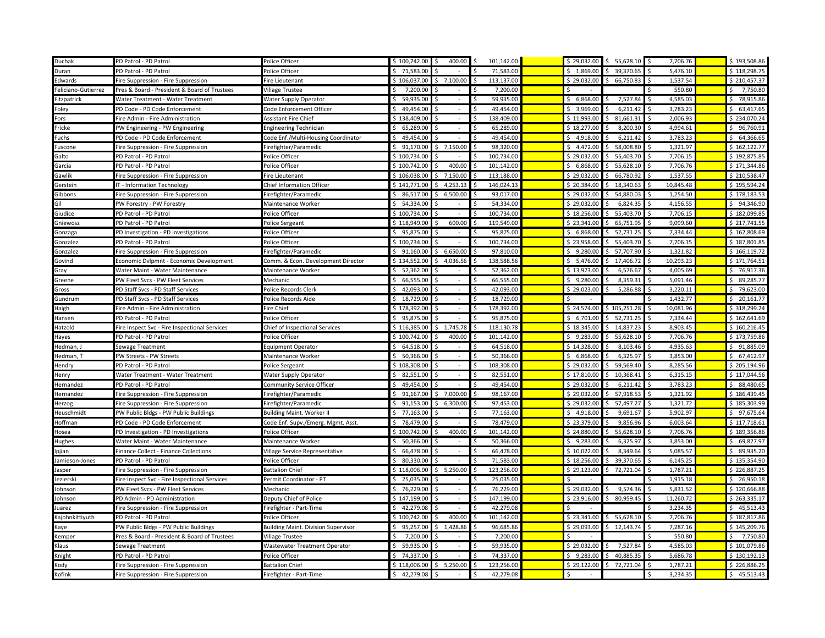| Duchak              | PD Patrol - PD Patrol                         | Police Officer                             | \$100,742.00         | 400.00                   | Ŝ.<br>101,142.00                 | $$29,032.00$ \$ | 55,628.10            | 7,706.76       | \$193,508.86        |
|---------------------|-----------------------------------------------|--------------------------------------------|----------------------|--------------------------|----------------------------------|-----------------|----------------------|----------------|---------------------|
| Duran               | PD Patrol - PD Patrol                         | Police Officer                             | \$71,583.00          |                          | 71,583.00                        | \$1,869.00      | Ŝ.<br>39,370.65      | 5,476.10       | \$118,298.75        |
| Edwards             | Fire Suppression - Fire Suppression           | <b>Fire Lieutenant</b>                     | \$106,037.00         | \$7,100.00               | 113,137.00<br>\$                 | \$29,032.00     | \$<br>66,750.83      | 1,537.54       | \$210,457.37        |
| Feliciano-Gutierrez | Pres & Board - President & Board of Trustees  | Village Trustee                            | 7,200.00             |                          | 7,200.00                         |                 |                      | 550.80         | 7,750.80            |
| Fitzpatrick         | Water Treatment - Water Treatment             | <b>Water Supply Operator</b>               | 59.935.00<br>$\zeta$ |                          | 59.935.00<br>-Ś                  | \$6,868.00      | 7,527.84             | 4.585.03<br>\$ | \$78,915.86         |
| Foley               | PD Code - PD Code Enforcement                 | Code Enforcement Officer                   | 49,454.00            | $\overline{\phantom{a}}$ | 49,454.00<br>Ŝ                   | \$3,969.00      | 6,211.42             | 3,783.23       | \$63,417.65         |
| Fors                | Fire Admin - Fire Administration              | <b>Assistant Fire Chief</b>                | \$138,409.00         | $\omega$                 | 138.409.00<br>Ŝ.                 | \$11,993.00     | 81,661.31<br>ς.      | 2.006.93       | \$234,070.24        |
| Fricke              | PW Engineering - PW Engineering               | <b>Engineering Technician</b>              | Ŝ.<br>65,289.00      |                          | 65,289.00                        | \$18,277.00     | 8,200.30             | 4,994.61       | \$96,760.91         |
| Fuchs               | PD Code - PD Code Enforcement                 | Code Enf./Multi-Housing Coordinator        | \$49,454.00          | $\mathbf{r}$             | 49,454.00<br>Š.                  | \$4,918.00      | 6,211.42<br>ς.       | 3,783.23       | \$64,366.65         |
| Fuscone             | Fire Suppression - Fire Suppression           | Firefighter/Paramedic                      | \$91,170.00          | \$7,150.00               | 98,320.00<br>Ŝ                   | \$4,472.00      | 58,008.80<br>Ś.      | 1,321.97       | \$162,122.77        |
| Galto               | PD Patrol - PD Patrol                         | Police Officer                             | \$100,734.00         |                          | 100,734.00                       | \$29,032.00     | 55,403.70            | 7,706.15       | \$192,875.85        |
| Garcia              | PD Patrol - PD Patrol                         | Police Officer                             | \$100,742.00         | 400.00<br>ς.             | 101.142.00                       | \$6,868.00      | 55,628.10<br>ς.      | 7,706.76       | \$171,344.86        |
| Gawlik              | Fire Suppression - Fire Suppression           | Fire Lieutenant                            | \$106,038.00         | 7,150.00<br>S            | 113,188.00                       | \$29,032.00     | 66,780.92            | 1,537.55       | \$210,538.47        |
| Gerstein            | IT - Information Technology                   | <b>Chief Information Officer</b>           | \$141,771.00         | $5$ 4.253.13             | 146.024.13<br>Š.                 | \$20.384.00     | \$18.340.63          | 10.845.48      | \$195,594.24        |
| Gibbons             | Fire Suppression - Fire Suppression           | Firefighter/Paramedic                      | \$86,517.00          | 6,500.00                 | 93,017.00                        | \$29,032.00     | 54,880.03            | 1,254.50       | \$178,183.53        |
| Gil                 | PW Forestry - PW Forestry                     | Maintenance Worker                         | \$54,334.00          |                          | 54,334.00                        | \$29,032.00     | 6,824.35<br>ς.       | 4,156.55       | \$94,346.90         |
| Giudice             | PD Patrol - PD Patrol                         | Police Officer                             | \$100,734.00         |                          | 100,734.00<br>Ŝ                  | \$18,256.00     | 55,403.70<br>Ś.      | 7,706.15       | \$182,099.85        |
| Gniewosz            | PD Patrol - PD Patrol                         | Police Sergeant                            | \$118,949.00         | 600.00                   | 119,549.00                       | \$23,341.00     | 65,751.95            | 9,099.60       | \$217,741.55        |
| Gonzaga             | PD Investigation - PD Investigations          | Police Officer                             | 95,875.00<br>$\zeta$ |                          | 95,875.00                        | \$6,868.00      | 52.731.25            | 7,334.44       | \$162,808.69        |
| Gonzalez            | PD Patrol - PD Patrol                         | Police Officer                             | \$100,734.00         |                          | 100,734.00                       | \$23,958.00     | 55,403.70            | 7,706.15       | \$187,801.85        |
| Gonzalez            | Fire Suppression - Fire Suppression           | Firefighter/Paramedic                      | \$91,160.00          | \$6,650.00               | 97,810.00                        | \$9,280.00      | \$57,707.90          | 1,321.82       | \$166,119.72        |
| Govind              | Economic Dvlpmnt - Economic Development       | Comm. & Econ. Development Director         | \$134,552.00         | 4,036.56                 | 138,588.56                       | \$5,476.00      | 17,406.72            | 10,293.23      | \$171,764.51        |
| Gray                | Water Maint - Water Maintenance               | Maintenance Worker                         | \$52,362.00          |                          | 52,362.00<br>-Ś                  | \$13,973.00     | 6,576.67             | 4,005.69       | \$76,917.36         |
| Greene              | PW Fleet Svcs - PW Fleet Services             | Mechanic                                   | \$66,555.00          | $\sim$                   | 66,555.00<br>-Ś                  | \$9,280.00      | 8,359.31             | 5,091.46       | \$89,285.77         |
| Gross               | PD Staff Svcs - PD Staff Services             | Police Records Clerk                       | \$42,093.00          |                          | 42,093.00<br>-Ś                  | \$29,023.00     | 5,286.88             | 3,220.11       | \$79,623.00         |
| Gundrum             | PD Staff Svcs - PD Staff Services             | Police Records Aide                        | \$18,729.00          |                          | 18,729.00<br>$\zeta$             | ς.              |                      | 1,432.77       | \$20,161.77         |
| Haigh               | Fire Admin - Fire Administration              | Fire Chief                                 | \$178,392.00         | $\sim$                   | 178,392.00                       | \$24,574.00     | \$105,251.28         | 10,081.96      | \$318,299.24        |
| Hansen              | PD Patrol - PD Patrol                         | Police Officer                             | \$95,875.00          | $\overline{\phantom{a}}$ | 95,875.00<br>Ś                   | \$6,701.00      | \$52,731.25          | 7,334.44<br>Ŝ. | \$162,641.69        |
| Hatzold             | Fire Inspect Svc - Fire Inspectional Services | Chief of Inspectional Services             | \$116,385.00         | 1,745.78                 | 118,130.78                       | \$18,345.00     | 14,837.23            | 8,903.45       | \$160,216.45        |
| Hayes               | PD Patrol - PD Patrol                         | Police Officer                             | \$100,742.00         | 400.00                   | 101,142.00<br>-Ś                 | \$9,283.00      | 55,628.10<br>Ŝ.      | 7,706.76       | \$173,759.86        |
| Hedman,             | Sewage Treatment                              | <b>Equipment Operator</b>                  | 64,518.00            | ÷.                       | 64,518.00<br>Ŝ                   | \$14,328.00     | 8,103.46             | 4,935.63       | \$91,885.09         |
| Hedman, T           | PW Streets - PW Streets                       | Maintenance Worker                         | \$50,366.00          |                          | 50,366.00<br>-Ś                  | \$6,868.00      | 6,325.97<br>Ŝ        | 3,853.00       | \$67,412.97         |
| Hendry              | PD Patrol - PD Patrol                         | Police Sergeant                            | \$108,308.00         |                          | 108,308.00<br>\$                 | \$29,032.00     | 59,569.40<br>$\zeta$ | 8,285.56       | \$205,194.96        |
| Henry               | Water Treatment - Water Treatment             | Water Supply Operator                      | \$2,551.00           | $\overline{\phantom{a}}$ | 82,551.00<br>-Ś                  | \$17,810.00     | \$10,368.41          | 6,315.15       | \$117,044.56        |
| Hernandez           | PD Patrol - PD Patrol                         | Community Service Officer                  | \$49,454.00          |                          | 49,454.00<br>Ŝ                   | \$29,032.00     | 6,211.42<br>Ś        | 3,783.23       | \$88,480.65         |
| Hernandez           | Fire Suppression - Fire Suppression           | Firefighter/Paramedio                      | 91,167.00            | 7,000.00<br>Ś.           | 98,167.00                        | \$29,032.00     | 57,918.53            | 1,321.92       | \$186,439.45        |
| Herzog              | Fire Suppression - Fire Suppression           | Firefighter/Paramedic                      | \$91.153.00          | 6,300.00<br>Ŝ.           | 97.453.00<br>-Ś                  | \$29.032.00     | 57,497.27<br>ς.      | 1.321.72       | \$185,303.99        |
| Heuschmidt          | PW Public Bldgs - PW Public Buildings         | <b>Building Maint. Worker II</b>           | 77,163.00            |                          | 77,163.00                        | \$4,918.00      | 9,691.67             | 5,902.97       | \$97,675.64         |
| Hoffman             | PD Code - PD Code Enforcement                 | Code Enf. Supv./Emerg. Mgmt. Asst.         | \$78,479.00          |                          | 78,479.00<br>-Ś                  | \$23,379.00     | 9,856.96<br>Ŝ        | 6,003.64       | \$117,718.61        |
| Hosea               | PD Investigation - PD Investigations          | Police Officer                             | \$100,742.00         | 400.00                   | $\mathsf{\hat{S}}$<br>101,142.00 | \$24,880.00     | 55,628.10<br>ς.      | 7,706.76       | \$189,356.86        |
| <b>Hughes</b>       | Water Maint - Water Maintenance               | Maintenance Worker                         | 50,366.00            | ä,                       | 50,366.00                        | \$9,283.00      | 6,325.97             | 3,853.00       | \$69,827.97         |
| Ipjian              | Finance Collect - Finance Collections         | Village Service Representative             | \$66,478.00          | $\overline{\phantom{a}}$ | 66,478.00<br>-Ś                  | \$10,022.00     | 8,349.64             | 5,085.57       | \$9,935.20          |
| Jamieson-Jones      | PD Patrol - PD Patrol                         | Police Officer                             | 80,330.00            |                          | 71,583.00                        | \$18,256.00     | 39,370.65            | 6,145.25       | \$135,354.90        |
| Jasper              | Fire Suppression - Fire Suppression           | <b>Battalion Chief</b>                     | \$118,006.00         | \$5,250.00               | 123.256.00<br>Ŝ.                 | \$29,123.00     | 72,721.04<br>ς.      | 1,787.21       | \$226,887.25        |
| Jezierski           | Fire Inspect Svc - Fire Inspectional Services | Permit Coordinator - PT                    | \$25,035.00          | $\overline{\phantom{a}}$ | 25,035.00                        | Ś               |                      | 1,915.18       | \$26,950.18         |
| Johnson             | PW Fleet Sycs - PW Fleet Services             | Mechanic                                   | \$76,229.00          | ÷.                       | 76.229.00<br>-Ś                  | \$29.032.00     | 9,574.36<br>Š.       | 5.831.52       | \$120,666.88        |
| Johnson             | PD Admin - PD Administration                  | Deputy Chief of Police                     | \$147,199.00         |                          | 147,199.00<br>\$                 | \$23,916.00     | 80,959.45<br>Ś       | 11,260.72      | \$263,335.17        |
| Juarez              | Fire Suppression - Fire Suppression           | Firefighter - Part-Time                    | \$42,279.08          |                          | 42,279.08                        | Ŝ               |                      | 3,234.35       | \$45,513.43         |
| Kajohnkittiyuth     | PD Patrol - PD Patrol                         | Police Officer                             | \$100,742.00         | 400.00<br>Ś.             | 101,142.00<br>-Ŝ                 | \$23,341.00     | \$5,628.10           | 7,706.76       | \$187,817.86        |
| Kaye                | PW Public Bldgs - PW Public Buildings         | <b>Building Maint. Division Supervisor</b> | 95,257.00            | 1,428.86                 | 96,685.86                        | \$29,093.00     | 12,143.74            | 7,287.16       | \$145,209.76        |
| Kemper              | Pres & Board - President & Board of Trustees  | Village Trustee                            | 7.200.00<br>$\zeta$  | $\sim$                   | 7.200.00<br>-Ś                   | ς.              |                      | 550.80         | 7,750.80<br>$\zeta$ |
| Klaus               | Sewage Treatment                              | Wastewater Treatment Operator              | 59,935.00<br>-Ś      |                          | 59,935.00<br>Ŝ                   | \$29,032.00     | 7,527.84             | 4,585.03       | \$101,079.86        |
| Knight              | PD Patrol - PD Patrol                         | Police Officer                             | \$74,337.00          |                          | 74,337.00                        | \$9,283.00      | Ś.<br>40,885.35      | 5,686.78       | \$130,192.13        |
| Kody                | Fire Suppression - Fire Suppression           | <b>Battalion Chief</b>                     | \$118,006.00         | \$5,250.00               | 123,256.00<br>\$                 | \$29,122.00     | \$72,721.04          | 1,787.21       | \$226,886.25        |
| Kofink              | Fire Suppression - Fire Suppression           | Firefighter - Part-Time                    | \$42,279.08          | \$<br>$\sim$             | 42,279.08<br>-Ś                  | \$<br>$\sim$    |                      | 3,234.35<br>Ŝ  | \$45,513.43         |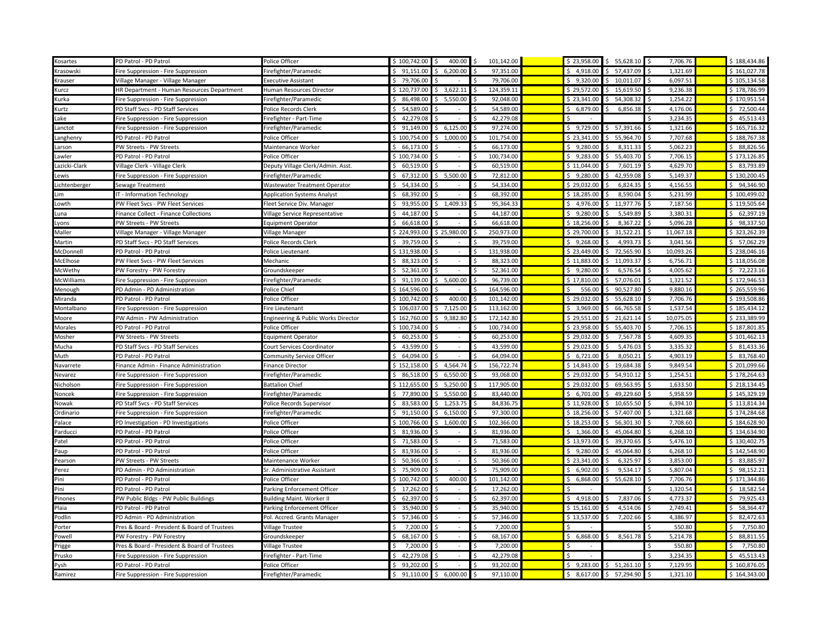| Kosartes      | PD Patrol - PD Patrol                        | Police Officer                      | \$100,742.00         | 400.00                   | 101,142.00           | \$23,958.00          | \$5,628.10                | 7,706.76       | \$188,434.86   |
|---------------|----------------------------------------------|-------------------------------------|----------------------|--------------------------|----------------------|----------------------|---------------------------|----------------|----------------|
| Krasowski     | Fire Suppression - Fire Suppression          | Firefighter/Paramedic               | 91,151.00            | 6,200.00                 | 97,351.00            | \$4,918.00           | \$57,437.09               | 1,321.69       | \$161,027.78   |
| Krauser       | Village Manager - Village Manager            | Executive Assistant                 | 79,706.00            |                          | 79,706.00            | \$9,320.00           | 10,011.07<br>Ŝ.           | 6,097.51       | \$105,134.58   |
| Kurcz         | HR Department - Human Resources Department   | Human Resources Director            | \$120,737.00         | 3,622.11                 | 124,359.11           | \$29,572.00          | 15,619.50<br>Ŝ.           | 9,236.38       | \$178,786.99   |
| Kurka         | Fire Suppression - Fire Suppression          | Firefighter/Paramedic               | 86,498.00<br>$\zeta$ | 5,550.00<br>Ś.           | 92.048.00            | \$23.341.00          | \$54,308.32               | 1,254.22       | \$170,951.54   |
| Kurtz         | PD Staff Svcs - PD Staff Services            | Police Records Clerk                | \$54,589.00          |                          | 54,589.00<br>-Ś      | \$6,879.00           | Ŝ.<br>6,856.38            | 4,176.06       | \$72,500.44    |
| Lake          | Fire Suppression - Fire Suppression          | Firefighter - Part-Time             | \$42,279.08          |                          | 42,279.08            |                      |                           | 3,234.35       | \$45,513.43    |
| .anctot       | Fire Suppression - Fire Suppression          | Firefighter/Paramedic               | 91,149.00            | 6,125.00                 | 97,274.00            | \$9,729.00           | 57,391.66<br>Ŝ            | 1,321.66       | \$165,716.32   |
| Langhenry     | PD Patrol - PD Patrol                        | Police Officer                      | \$100,754.00         | 1,000.00<br>Ŝ.           | 101.754.00<br>Š.     | \$23.341.00          | 55,964.70<br>ς.           | 7,707.68       | \$188,767.38   |
| Larson        | PW Streets - PW Streets                      | Maintenance Worker                  | 66,173.00            |                          | 66,173.00            | \$9,280.00           | 8,311.33<br>Ŝ             | 5,062.23       | \$88,826.56    |
| Lawler        | PD Patrol - PD Patrol                        | Police Officer                      | \$100,734.00         |                          | 100,734.00<br>\$.    | \$9,283.00           | \$5,403.70                | 7,706.15       | \$173,126.85   |
| Lazicki-Clark | Village Clerk - Village Clerk                | Deputy Village Clerk/Admin. Asst    | 60,519.00<br>Ś,      |                          | 60,519.00            | \$11,044.00          | 7,601.19<br><sup>\$</sup> | 4,629.70       | \$3,793.89     |
| Lewis         | Fire Suppression - Fire Suppression          | irefighter/Paramedic                | 67,312.00            | \$5,500.00               | 72,812.00            | \$9,280.00           | 42.959.08<br>Ŝ.           | 5,149.37       | \$130,200.45   |
| Lichtenberger | Sewage Treatment                             | Wastewater Treatment Operator       | \$54,334.00          |                          | 54,334.00            | \$29,032.00          | 6,824.35<br>Ś             | 4,156.55       | \$94,346.90    |
| .im           | IT - Information Technology                  | <b>Application Systems Analyst</b>  | 68,392.00            |                          | 68,392.00            | \$18,285.00          | 8,590.04                  | 5,231.99       | \$100,499.02   |
| Lowth         | PW Fleet Svcs - PW Fleet Services            | Fleet Service Div. Manager          | 93.955.00            | 1,409.33<br>Ŝ.           | 95.364.33<br>Š.      | \$4.976.00           | 11.977.76<br>ς.           | 7,187.56       | \$119,505.64   |
| una.          | inance Collect - Finance Collections         | Village Service Representative      | 44,187.00            |                          | 44,187.00            | \$9,280.00           | 5,549.89<br>Ś             | 3,380.31       | \$62,397.19    |
| Lyons         | <b>W Streets - PW Streets</b>                | <b>Equipment Operator</b>           | 66,618.00            |                          | 66,618.00            | \$18,256.00          | 8,367.22                  | 5,096.28       | \$98,337.50    |
| Maller        | Village Manager - Village Manager            | Village Manager                     | \$224,993.00         | \$25,980.00              | Ś<br>250,973.00      | \$29,700.00          | 31,522.21<br>Ŝ.           | 11,067.18      | \$323,262.39   |
| Martin        | PD Staff Svcs - PD Staff Services            | Police Records Clerk                | \$39,759.00          | $\overline{\phantom{a}}$ | 39,759.00            | \$9,268.00           | 4,993.73                  | 3,041.56       | \$7,062.29     |
| McDonnell     | PD Patrol - PD Patrol                        | Police Lieutenant                   | \$131.938.00         | ÷.                       | 131,938.00<br>Š.     | \$23.449.00          | 72,565.90<br>Ŝ.           | 10,093.26      | \$238,046.16   |
| McElhose      | PW Fleet Svcs - PW Fleet Services            | Mechanic                            | 88,323.00            |                          | 88,323.00            | \$11,883.00          | 11,093.37<br>Ś            | 6,756.71       | \$118,056.08   |
| McWethy       | PW Forestry - PW Forestry                    | Groundskeeper                       | \$52,361.00          |                          | 52,361.00            | \$9,280.00           | 6,576.54                  | 4,005.62       | \$72,223.16    |
| McWilliams    | Fire Suppression - Fire Suppression          | Firefighter/Paramedic               | \$91,139.00          | \$5,600.00               | 96,739.00<br>Ŝ       | \$17,810.00          | \$7,076.01                | 1,321.52       | \$172,946.53   |
| Menough       | PD Admin - PD Administration                 | Police Chief                        | \$164,596.00         |                          | 164,596.00           | Ś.<br>556.00         | \$90,527.80               | 9,880.16       | \$265,559.96   |
| Miranda       | PD Patrol - PD Patrol                        | Police Officer                      | \$100,742.00         | 400.00                   | 101,142.00           | \$29,032.00          | \$5,628.10                | 7,706.76       | \$193,508.86   |
| Montalbano    | ire Suppression - Fire Suppression           | ire Lieutenant                      | \$106,037.00         | $5$ 7,125.00             | 113,162.00           | \$3,969.00           | 66,765.58<br>S.           | 1,537.54       | \$185,434.12   |
| Moore         | PW Admin - PW Administration                 | Engineering & Public Works Director | \$162,760.00         | \$9,382.80               | 172,142.80<br>Ŝ      | \$29,551.00          | \$21,621.14               | 10,075.05      | \$233,389.99   |
| Morales       | PD Patrol - PD Patrol                        | Police Officer                      | \$100,734.00         |                          | 100,734.00           | \$23,958.00          | 55,403.70<br>Ś            | 7,706.15       | \$187,801.85   |
| Mosher        | PW Streets - PW Streets                      | <b>Equipment Operator</b>           | \$60,253.00          |                          | 60,253.00            | \$29,032.00          | 7,567.78<br>Ŝ             | 4,609.35       | \$101,462.13   |
| Mucha         | PD Staff Svcs - PD Staff Services            | Court Services Coordinator          | 43,599.00            | ÷                        | 43,599.00<br>Ŝ       | \$29,023.00          | 5,476.03<br>ς.            | 3,335.32       | \$31,433.36    |
| Muth          | PD Patrol - PD Patrol                        | Community Service Officer           | 64,094.00            |                          | 64,094.00            | \$6,721.00           | 8,050.21                  | 4,903.19       | \$3,768.40     |
| Navarrete     | inance Admin - Finance Administration        | inance Director                     | \$152,158.00         | 4,564.74<br>Ś.           | 156,722.74<br>Ŝ      | \$14,843.00          | 19,684.38<br>Ŝ.           | 9,849.54       | \$201,099.66   |
| Nevarez       | Fire Suppression - Fire Suppression          | irefighter/Paramedic                | \$86,518.00          | 6,550.00<br>Ś.           | 93,068.00            | \$29,032.00          | \$<br>54,910.12           | 1,254.51       | \$178,264.63   |
| Nicholson     | Fire Suppression - Fire Suppression          | Battalion Chief                     | \$112,655.00         | 5,250.00                 | 117,905.00           | \$29,032.00          | 69,563.95<br>Ŝ.           | 1,633.50       | \$218,134.45   |
| Noncek        | Fire Suppression - Fire Suppression          | Firefighter/Paramedic               | 77,890.00            | 5,550.00                 | 83,440.00            | \$6,701.00           | 49,229.60<br>Ś            | 5,958.59       | \$145,329.19   |
| Nowak         | PD Staff Svcs - PD Staff Services            | Police Records Supervisor           | 83.583.00            | 1.253.75<br>$\zeta$      | 84.836.75            | \$11.928.00          | \$10.655.50               | 6.394.10       | \$113.814.34   |
| Ordinario     | Fire Suppression - Fire Suppression          | Firefighter/Paramedic               | 91,150.00            | 6,150.00<br>Ŝ.           | 97,300.00            | \$18,256.00          | 57,407.00<br>\$           | 1,321.68       | \$174,284.68   |
| Palace        | PD Investigation - PD Investigations         | Police Officer                      | \$100,766.00         | \$1,600.00               | 102,366.00           | \$18,253.00          | \$56,301.30               | 7,708.60       | \$184,628.90   |
| Parducci      | PD Patrol - PD Patrol                        | Police Officer                      | \$3.936.00           |                          | 81.936.00<br>¢       | \$1.366.00           | Ŝ.<br>45.064.80           | 6.268.10       | \$134.634.90   |
| Patel         | PD Patrol - PD Patrol                        | Police Officer                      | 71,583.00            |                          | 71,583.00<br>Ŝ       | \$13,973.00          | 39,370.65<br>Ś            | 5,476.10       | \$130,402.79   |
| Paup          | PD Patrol - PD Patrol                        | Police Officer                      | \$3,936.00           | $\sim$                   | 81.936.00<br>Ŝ.      | \$9.280.00           | \$45,064.80               | 6,268.10       | \$142,548.90   |
| Pearson       | PW Streets - PW Streets                      | Maintenance Worker                  | 50,366.00            |                          | 50,366.00            | \$23,341.00          | 6,325.97                  | 3,853.00       | \$ 83,885.97   |
| Perez         | PD Admin - PD Administration                 | Sr. Administrative Assistant        | \$75,909.00          |                          | 75,909.00            | \$6,902.00           | 9,534.17<br>Ś             | 5,807.04       | \$98,152.21    |
| Pini          | PD Patrol - PD Patrol                        | Police Officer                      | \$100,742.00         | 400.00                   | 101,142.00           | \$6,868.00           | \$5,628.10                | 7,706.76       | \$171,344.86   |
| Pini          | PD Patrol - PD Patrol                        | Parking Enforcement Officer         | 17,262.00            |                          | 17,262.00            |                      |                           | 1,320.54       | \$18,582.54    |
| Pinones       | PW Public Bldgs - PW Public Buildings        | Building Maint. Worker II           | $\zeta$<br>62,397.00 |                          | 62,397.00<br>$\zeta$ | \$4,918.00           | 7,837.06<br>ς.            | 4,773.37       | \$79,925.43    |
| Plaia         | PD Patrol - PD Patrol                        | Parking Enforcement Officer         | 35,940.00            | $\sim$                   | 35,940.00<br>Ŝ       | \$15,161.00          | 4,514.06                  | 2,749.41       | \$58,364.47    |
| Podlin        | PD Admin - PD Administration                 | Pol. Accred. Grants Manager         | 57,346.00<br>\$      | $\overline{\phantom{a}}$ | 57,346.00<br>Ŝ.      | \$13,537.00          | 7,202.66<br>\$            | 4,386.97       | \$2,472.63     |
| Porter        | Pres & Board - President & Board of Trustees | Village Trustee                     | 7,200.00             |                          | 7,200.00             |                      |                           | 550.80         | 7,750.80       |
| Powell        | PW Forestry - PW Forestry                    | Groundskeeper                       | 68,167.00<br>-Ŝ      | $\blacksquare$           | 68,167.00<br>-Ś      | \$6,868.00           | 8,561.78<br>Ŝ             | 5,214.78<br>-Ś | \$88,811.55    |
| Prigge        | Pres & Board - President & Board of Trustees | <b>Village Trustee</b>              | 7,200.00<br>-Ś       | $\sim$                   | 7,200.00<br>\$       | \$<br>$\overline{a}$ |                           | 550.80         | \$<br>7,750.80 |
| Prusko        | Fire Suppression - Fire Suppression          | irefighter - Part-Time <sup>:</sup> | Ŝ.<br>42.279.08      |                          | 42,279.08            |                      |                           | 3,234.35       | $5$ 45.513.43  |
| Pysh          | PD Patrol - PD Patrol                        | Police Officer                      | 93,202.00<br>Ŝ.      | Š.                       | 93.202.00<br>-Ś      | \$9,283.00           | \$5, 51, 261.10           | 7.129.95       | \$160,876.05   |
| Ramirez       | Fire Suppression - Fire Suppression          | Firefighter/Paramedic               | 91,110.00<br>\$      | \$6,000.00               | 97,110.00<br>Ŝ.      |                      | \$8,617.00 \$57,294.90    | 1,321.10       | \$164,343.00   |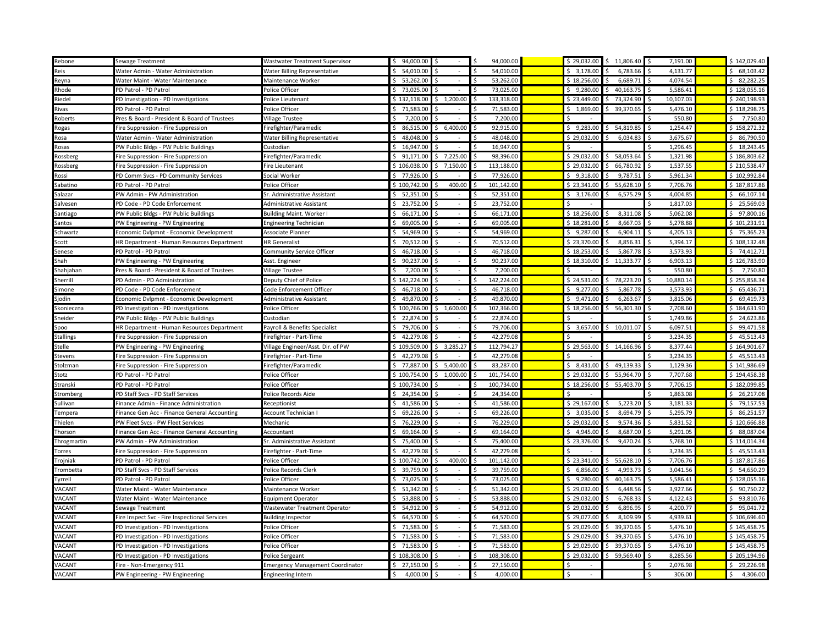| Rebone           | Sewage Treatment                              | Wastwater Treatment Supervisor          | \$94,000.00                |                          | 94,000.00                  | \$29,032.00 | 11,806.40<br>Ŝ  | 7,191.00       | \$142,029.40         |
|------------------|-----------------------------------------------|-----------------------------------------|----------------------------|--------------------------|----------------------------|-------------|-----------------|----------------|----------------------|
| Reis             | Water Admin - Water Administration            | Water Billing Representative            | 54,010.00<br>$\zeta$       |                          | 54,010.00                  | \$3,178.00  | 6,783.66        | 4,131.77       | \$68,103.42          |
| Reyna            | Water Maint - Water Maintenance               | Maintenance Worker                      | 53,262.00                  | $\bar{a}$                | 53,262.00                  | \$18,256.00 | 6,689.71        | 4,074.54       | \$2,282.25           |
| Rhode            | PD Patrol - PD Patrol                         | Police Officer                          | \$73,025.00                |                          | 73,025.00                  | \$9,280.00  | Ŝ.<br>40,163.75 | 5,586.41       | \$128,055.16         |
| Riedel           | PD Investigation - PD Investigations          | Police Lieutenant                       | \$132,118.00               | \$1,200.00               | 133,318.00                 | \$23,449.00 | \$73,324.90     | 10,107.03      | \$240,198.93         |
| Rivas            | PD Patrol - PD Patrol                         | Police Officer                          | \$71,583.00                |                          | 71,583.00<br>Ŝ             | \$1,869.00  | \$39,370.65     | 5,476.10       | \$118,298.75         |
| Roberts          | Pres & Board - President & Board of Trustees  | Village Trustee                         | 7,200.00<br>\$             |                          | 7,200.00                   |             |                 | 550.80         | 7,750.80<br>\$       |
| Rogas            | Fire Suppression - Fire Suppression           | Firefighter/Paramedic                   | Ŝ.<br>86,515.00            | 6,400.00                 | 92,915.00                  | \$9,283.00  | 54,819.85<br>Ŝ  | 1,254.47       | \$158,272.32         |
| Rosa             | Water Admin - Water Administration            | Water Billing Representative            | <sup>\$</sup><br>48,048.00 |                          | 48.048.00                  | \$29,032.00 | 6,034.83<br>Ŝ   | 3,675.67       | \$86,790.50          |
| Rosas            | PW Public Bldgs - PW Public Buildings         | Custodian                               | 16,947.00                  |                          | 16,947.00                  |             |                 | 1,296.45       | \$18,243.45          |
| Rossberg         | Fire Suppression - Fire Suppression           | Firefighter/Paramedic                   | \$91,171.00                | $5$ 7,225.00             | 98,396.00                  | \$29,032.00 | \$58,053.64     | 1,321.98       | \$186,803.62         |
| Rossberg         | Fire Suppression - Fire Suppression           | Fire Lieutenant                         | \$106,038.00               | 7,150.00<br>ς.           | 113,188.00                 | \$29,032.00 | 66,780.92<br>Ś. | 1,537.55       | \$210,538.47         |
| Rossi            | PD Comm Svcs - PD Community Services          | Social Worker                           | \$77,926.00                |                          | 77,926.00                  | \$9,318.00  | 9,787.51        | 5,961.34       | \$102,992.84         |
| Sabatino         | PD Patrol - PD Patrol                         | Police Officer                          | \$100,742.00               | 400.00                   | 101,142.00                 | \$23,341.00 | \$5,628.10      | 7,706.76       | \$187,817.86         |
| Salazar          | PW Admin - PW Administration                  | Sr. Administrative Assistant            | 52,351.00                  |                          | 52,351.00                  | \$3,176.00  | 6,575.29        | 4,004.85       | 66,107.14            |
| Salvesen         | PD Code - PD Code Enforcement                 | Administrative Assistant                | Ŝ.<br>23,752.00            |                          | 23,752.00                  |             |                 | 1,817.03       | \$25,569.03          |
| Santiago         | PW Public Bldgs - PW Public Buildings         | <b>Building Maint. Worker I</b>         | \$66,171.00                | $\overline{\phantom{a}}$ | 66,171.00                  | \$18,256.00 | 8,311.08        | 5,062.08       | \$97,800.16          |
| Santos           | PW Engineering - PW Engineering               | <b>Engineering Technician</b>           | 69,005.00<br>$\zeta$       | $\sim$                   | 69,005.00                  | \$18,281.00 | 8,667.03        | 5,278.88       | \$101,231.91         |
| Schwartz         | Economic Dvlpmnt - Economic Development       | Associate Planner                       | Ŝ.<br>54,969.00            |                          | 54,969.00                  | \$9,287.00  | 6,904.11<br>Ŝ   | 4,205.13       | \$75,365.23          |
| Scott            | HR Department - Human Resources Department    | <b>HR Generalist</b>                    | \$70,512.00                | $\overline{\phantom{a}}$ | 70,512.00                  | \$23,370.00 | 8,856.31        | 5,394.17       | \$108,132.48         |
| Senese           | PD Patrol - PD Patrol                         | Community Service Officer               | \$46,718.00                | $\omega$                 | 46,718.00                  | \$18,253.00 | 5,867.78<br>ς.  | 3,573.93       | $5$ 74,412.71        |
| Shah             | PW Engineering - PW Engineering               | Asst. Engineer                          | \$<br>90,237.00            |                          | 90,237.00                  | \$18,310.00 | 11,333.77       | 6,903.13       | \$126,783.90         |
| Shahjahan        | Pres & Board - President & Board of Trustees  | Village Trustee                         | 7.200.00                   |                          | 7.200.00                   |             |                 | 550.80         | 7,750.80             |
| Sherrill         | PD Admin - PD Administration                  | Deputy Chief of Police                  | \$142,224.00               |                          | 142,224.00                 | \$24,531.00 | 78,223.20<br>\$ | 10,880.14      | \$255,858.34         |
| Simone           | PD Code - PD Code Enforcement                 | Code Enforcement Officer                | \$46,718.00                | $\sim$                   | 46,718.00                  | \$9,277.00  | 5,867.78<br>ς.  | 3,573.93       | \$65,436.71          |
| Sjodin           | Economic Dvlpmnt - Economic Development       | Administrative Assistant                | \$49,870.00                |                          | 49,870.00                  | \$9,471.00  | 6,263.67<br>Ŝ   | 3,815.06       | \$69,419.73          |
| Skonieczna       | PD Investigation - PD Investigations          | Police Officer                          | \$100,766.00               | \$1,600.00               | 102,366.00                 | \$18,256.00 | \$56,301.30     | 7,708.60       | \$184,631.90         |
| Sneider          | PW Public Bldgs - PW Public Buildings         | Custodian                               | \$22,874.00                |                          | 22,874.00                  |             |                 | 1,749.86       | \$24,623.86          |
| Spoo             | HR Department - Human Resources Department    | Payroll & Benefits Specialist           | 79,706.00                  |                          | 79,706.00                  | \$3,657.00  | \$10,011.07     | 6,097.51       | \$99,471.58          |
| <b>Stallings</b> | Fire Suppression - Fire Suppression           | Firefighter - Part-Time                 | \$42,279.08                |                          | 42,279.08                  |             |                 | 3,234.35       | \$45,513.43          |
| Stelle           | PW Engineering - PW Engineering               | Village Engineer/Asst. Dir. of PW       | \$109,509.00               | \$3,285.27               | 112,794.27<br>Ŝ            | \$29,563.00 | \$14,166.96     | 8,377.44       | \$164,901.67         |
| Stevens          | Fire Suppression - Fire Suppression           | Firefighter - Part-Time                 | \$42,279.08                |                          | 42,279.08                  |             |                 | 3,234.35       | \$45,513.43          |
| Stolzman         | Fire Suppression - Fire Suppression           | Firefighter/Paramedic                   | \$77,887.00                | \$5,400.00               | 83,287.00                  | \$8,431.00  | \$49,139.33     | 1,129.36<br>Ŝ. | \$141,986.69         |
| Stotz            | PD Patrol - PD Patrol                         | Police Officer                          | \$100,754.00               | \$1,000.00               | 101,754.00<br>Ŝ            | \$29,032.00 | \$5,964.70      | 7,707.68       | \$194,458.38         |
| Stranski         | PD Patrol - PD Patrol                         | Police Officer                          | \$100,734.00               |                          | 100,734.00                 | \$18,256.00 | \$5,403.70      | 7,706.15       | \$182,099.85         |
| Stromberg        | PD Staff Svcs - PD Staff Services             | Police Records Aide                     | 24,354.00<br>\$.           |                          | 24,354.00                  |             |                 | 1,863.08       | \$26,217.08          |
| Sullivan         | Finance Admin - Finance Administration        | Receptionist                            | \$41,586.00                | $\sim$                   | 41,586.00<br><sup>\$</sup> | \$29,167.00 | 5,223.20<br>Ŝ   | 3,181.33       | \$79,157.53          |
| Tempera          | Finance Gen Acc - Finance General Accounting  | Account Technician I                    | 69,226.00                  | $\omega$                 | 69,226.00                  | \$3,035.00  | 8,694.79        | 5,295.79       | \$86,251.57          |
| Thielen          | <sup>P</sup> W Fleet Svcs - PW Fleet Services | Mechanic                                | \$76,229.00                |                          | 76,229.00<br>Ŝ             | \$29,032.00 | 9,574.36<br>Ŝ   | 5,831.52       | \$120,666.88         |
| Thorson          | Finance Gen Acc - Finance General Accounting  | Accountant                              | \$69,164.00                | $\sim$                   | 69,164.00                  | \$4,945.00  | 8,687.00<br>ς.  | 5,291.05       | \$88,087.04          |
| Throgmartin      | PW Admin - PW Administration                  | Sr. Administrative Assistant            | \$75,400.00                | ä,                       | 75,400.00                  | \$23,376.00 | 9,470.24<br>Ś   | 5,768.10       | \$114,014.34         |
| Torres           | Fire Suppression - Fire Suppression           | Firefighter - Part-Time                 | \$42,279.08                | $\overline{\phantom{a}}$ | 42,279.08                  |             |                 | 3,234.35       | \$45,513.43          |
| Trojniak         | PD Patrol - PD Patrol                         | Police Officer                          | \$100,742.00               | 400.00                   | 101,142.00                 | \$23,341.00 | 55,628.10       | 7,706.76       | \$187,817.86         |
| Trombetta        | PD Staff Svcs - PD Staff Services             | Police Records Clerk                    | \$39,759.00                | $\sim$                   | 39,759.00                  | \$6,856.00  | 4,993.73        | 3,041.56       | \$54,650.29          |
| <b>Tyrrell</b>   | PD Patrol - PD Patrol                         | Police Officer                          | 73,025.00<br>S.            | $\sim$                   | 73,025.00                  | \$9,280.00  | 40,163.75<br>Ś  | 5,586.41       | \$128,055.16         |
| VACANT           | Water Maint - Water Maintenance               | Maintenance Worker                      | \$5, 51,342.00             | $\overline{\phantom{a}}$ | 51.342.00<br>Ŝ.            | \$29.032.00 | 6,448.56<br>Š.  | 3.927.66       | \$90.750.22          |
| VACANT           | Water Maint - Water Maintenance               | <b>Equipment Operator</b>               | Ŝ.<br>53,888.00            |                          | 53,888.00                  | \$29,032.00 | 6,768.33        | 4,122.43       | 93,810.76<br>$\zeta$ |
| VACANT           | Sewage Treatment                              | Wastewater Treatment Operator           | \$54,912.00                | $\blacksquare$           | 54.912.00                  | \$29,032.00 | 6,896.95<br>Ŝ   | 4,200.77       | \$95,041.72          |
| VACANT           | Fire Inspect Svc - Fire Inspectional Services | <b>Building Inspector</b>               | \$64,570.00                | $\sim$                   | 64,570.00<br>Ŝ.            | \$29,077.00 | 8,109.99<br>Ŝ.  | 4,939.61       | \$106,696.60         |
| VACANT           | PD Investigation - PD Investigations          | Police Officer                          | \$71,583.00                |                          | 71,583.00                  | \$29,029.00 | 39,370.65       | 5,476.10       | \$145,458.75         |
| VACANT           | PD Investigation - PD Investigations          | Police Officer                          | \$71,583.00                | $\sim$                   | 71.583.00<br>Ŝ.            | \$29.029.00 | \$39.370.65     | 5.476.10       | \$145,458.75         |
| VACANT           | PD Investigation - PD Investigations          | Police Officer                          | 71,583.00<br>S             | $\sim$                   | 71,583.00                  | \$29,029.00 | 39,370.65<br>\$ | 5,476.10       | \$145,458.75         |
| VACANT           | PD Investigation - PD Investigations          | Police Sergeant                         | \$108,308.00               |                          | 108,308.00<br>Ś.           | \$29,032.00 | \$59,569.40     | 8,285.56       | \$205.194.96         |
| VACANT           | Fire - Non-Emergency 911                      | <b>Emergency Management Coordinator</b> | \$27,150.00                |                          | 27,150.00                  |             |                 | 2,076.98       | \$29,226.98          |
| VACANT           | PW Engineering - PW Engineering               | Engineering Intern                      | 4,000.00<br><b>\$</b>      | \$<br>$\blacksquare$     | 4,000.00<br>Ŝ.             | Ŝ<br>$\sim$ |                 | 306.00         | 4,306.00<br>\$       |